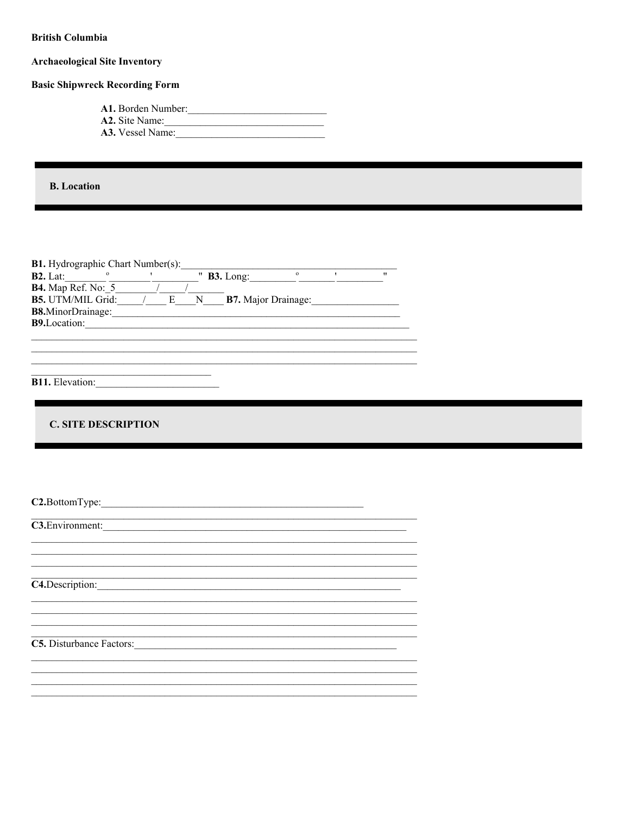| <b>British Columbia</b>                                                                                                                                                                                                                                                                                                                                                                                                                                        |
|----------------------------------------------------------------------------------------------------------------------------------------------------------------------------------------------------------------------------------------------------------------------------------------------------------------------------------------------------------------------------------------------------------------------------------------------------------------|
| <b>Archaeological Site Inventory</b>                                                                                                                                                                                                                                                                                                                                                                                                                           |
| <b>Basic Shipwreck Recording Form</b>                                                                                                                                                                                                                                                                                                                                                                                                                          |
| A1. Borden Number:<br>A2. Site Name:                                                                                                                                                                                                                                                                                                                                                                                                                           |
| <b>B.</b> Location                                                                                                                                                                                                                                                                                                                                                                                                                                             |
| <b>B1.</b> Hydrographic Chart Number(s):<br><b>B2.</b> Lat: $\frac{1}{\sqrt{1-\frac{1}{n}}}\cdot\frac{1}{\sqrt{1-\frac{1}{n}}}$ <b>B3.</b> Long: $\frac{1}{\sqrt{1-\frac{1}{n}}}$ <b>B4.</b> Map Ref. No: 5<br>$\overline{\mathbf{u}}$<br><b>B5.</b> UTM/MIL Grid: $\frac{}{E}$ $\frac{}{E}$ $\frac{}{N}$ <b>B7.</b> Major Drainage:<br>B8.MinorDrainage:<br>B9.Location:<br>,我们也不能在这里的人,我们也不能在这里的人,我们也不能在这里的人,我们也不能在这里的人,我们也不能在这里的人,我们也不能在这里的人,我们也不能在这里的人,我们也 |
| B11. Elevation:                                                                                                                                                                                                                                                                                                                                                                                                                                                |
|                                                                                                                                                                                                                                                                                                                                                                                                                                                                |
| <b>C. SITE DESCRIPTION</b>                                                                                                                                                                                                                                                                                                                                                                                                                                     |
|                                                                                                                                                                                                                                                                                                                                                                                                                                                                |
| C2.BottomType:                                                                                                                                                                                                                                                                                                                                                                                                                                                 |
| C3. Environment:                                                                                                                                                                                                                                                                                                                                                                                                                                               |
|                                                                                                                                                                                                                                                                                                                                                                                                                                                                |
| C4.Description:<br><u> 1989 - Johann John Stone, mars eta biztanleria (h. 1989).</u>                                                                                                                                                                                                                                                                                                                                                                           |
|                                                                                                                                                                                                                                                                                                                                                                                                                                                                |
| C5. Disturbance Factors:                                                                                                                                                                                                                                                                                                                                                                                                                                       |
|                                                                                                                                                                                                                                                                                                                                                                                                                                                                |
|                                                                                                                                                                                                                                                                                                                                                                                                                                                                |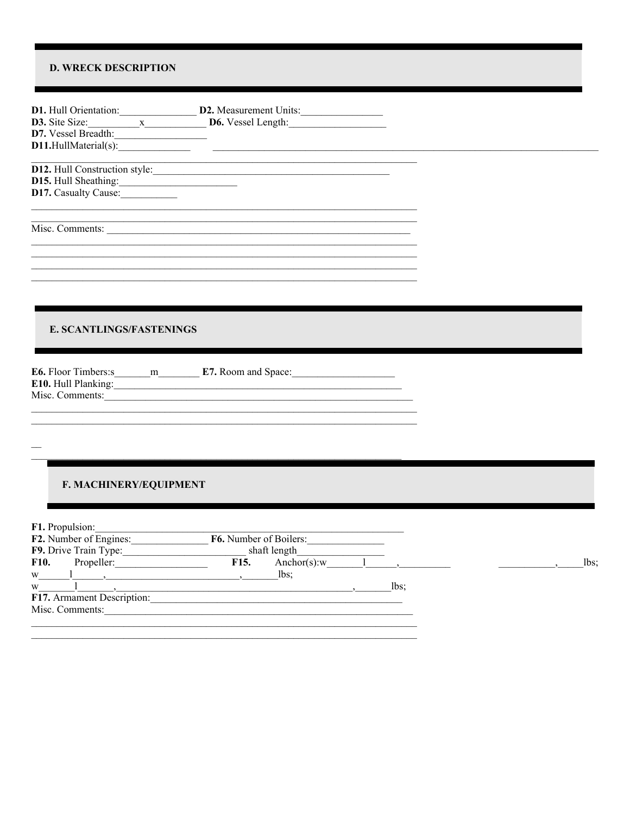## **D. WRECK DESCRIPTION**

|                          | <b>D1.</b> Hull Orientation: $\underline{\hspace{2cm}}$ <b>D2.</b> Measurement Units: $\underline{\hspace{2cm}}$ <b>D3.</b> Site Size: $\underline{\hspace{2cm}}$ <b>D6.</b> Vessel Length:                                                                                                                                                                                                                                |     |
|--------------------------|----------------------------------------------------------------------------------------------------------------------------------------------------------------------------------------------------------------------------------------------------------------------------------------------------------------------------------------------------------------------------------------------------------------------------|-----|
|                          |                                                                                                                                                                                                                                                                                                                                                                                                                            |     |
|                          |                                                                                                                                                                                                                                                                                                                                                                                                                            |     |
|                          |                                                                                                                                                                                                                                                                                                                                                                                                                            |     |
|                          |                                                                                                                                                                                                                                                                                                                                                                                                                            |     |
| D15. Hull Sheathing:     |                                                                                                                                                                                                                                                                                                                                                                                                                            |     |
| D17. Casualty Cause:     |                                                                                                                                                                                                                                                                                                                                                                                                                            |     |
|                          |                                                                                                                                                                                                                                                                                                                                                                                                                            |     |
|                          |                                                                                                                                                                                                                                                                                                                                                                                                                            |     |
|                          |                                                                                                                                                                                                                                                                                                                                                                                                                            |     |
|                          |                                                                                                                                                                                                                                                                                                                                                                                                                            |     |
|                          |                                                                                                                                                                                                                                                                                                                                                                                                                            |     |
|                          |                                                                                                                                                                                                                                                                                                                                                                                                                            |     |
|                          |                                                                                                                                                                                                                                                                                                                                                                                                                            |     |
|                          |                                                                                                                                                                                                                                                                                                                                                                                                                            |     |
|                          |                                                                                                                                                                                                                                                                                                                                                                                                                            |     |
|                          |                                                                                                                                                                                                                                                                                                                                                                                                                            |     |
| E. SCANTLINGS/FASTENINGS |                                                                                                                                                                                                                                                                                                                                                                                                                            |     |
|                          |                                                                                                                                                                                                                                                                                                                                                                                                                            |     |
|                          |                                                                                                                                                                                                                                                                                                                                                                                                                            |     |
|                          |                                                                                                                                                                                                                                                                                                                                                                                                                            |     |
|                          |                                                                                                                                                                                                                                                                                                                                                                                                                            |     |
|                          | E10. Hull Planking: 1999. The Manual Communication of the Manual Communication of the Manual Communication of the Manual Communication of the Manual Communication of the Manual Communication of the Manual Communication of                                                                                                                                                                                              |     |
|                          | Misc. Comments:                                                                                                                                                                                                                                                                                                                                                                                                            |     |
|                          |                                                                                                                                                                                                                                                                                                                                                                                                                            |     |
|                          |                                                                                                                                                                                                                                                                                                                                                                                                                            |     |
|                          |                                                                                                                                                                                                                                                                                                                                                                                                                            |     |
|                          |                                                                                                                                                                                                                                                                                                                                                                                                                            |     |
|                          |                                                                                                                                                                                                                                                                                                                                                                                                                            |     |
|                          |                                                                                                                                                                                                                                                                                                                                                                                                                            |     |
| F. MACHINERY/EQUIPMENT   |                                                                                                                                                                                                                                                                                                                                                                                                                            |     |
|                          |                                                                                                                                                                                                                                                                                                                                                                                                                            |     |
|                          |                                                                                                                                                                                                                                                                                                                                                                                                                            |     |
|                          |                                                                                                                                                                                                                                                                                                                                                                                                                            |     |
|                          | F1. Propulsion:<br>F2. Number of Engines: F6. Number of Boilers:                                                                                                                                                                                                                                                                                                                                                           |     |
|                          |                                                                                                                                                                                                                                                                                                                                                                                                                            |     |
|                          | F9. Drive Train Type: $\overline{\qquad \qquad}$ shaft length $\overline{\qquad \qquad}$ shaft length $\overline{\qquad \qquad}$ F16. Anchor(s):w $\qquad \qquad$ 1                                                                                                                                                                                                                                                        |     |
|                          |                                                                                                                                                                                                                                                                                                                                                                                                                            | lbs |
| W <sub>1</sub>           |                                                                                                                                                                                                                                                                                                                                                                                                                            |     |
|                          | $w$ and $\frac{1}{\sqrt{1-\frac{1}{\sqrt{1-\frac{1}{\sqrt{1-\frac{1}{\sqrt{1-\frac{1}{\sqrt{1-\frac{1}{\sqrt{1-\frac{1}{\sqrt{1-\frac{1}{\sqrt{1-\frac{1}{\sqrt{1-\frac{1}{\sqrt{1-\frac{1}{\sqrt{1-\frac{1}{\sqrt{1-\frac{1}{\sqrt{1-\frac{1}{\sqrt{1-\frac{1}{\sqrt{1-\frac{1}{\sqrt{1-\frac{1}{\sqrt{1-\frac{1}{\sqrt{1-\frac{1}{\sqrt{1-\frac{1}{\sqrt{1-\frac{1}{\sqrt{1-\frac{1}{\sqrt{1-\frac{1}{\sqrt{1-\frac{1}{$ |     |
|                          | F17. Armament Description:                                                                                                                                                                                                                                                                                                                                                                                                 |     |
|                          | Misc. Comments:                                                                                                                                                                                                                                                                                                                                                                                                            |     |
|                          |                                                                                                                                                                                                                                                                                                                                                                                                                            |     |